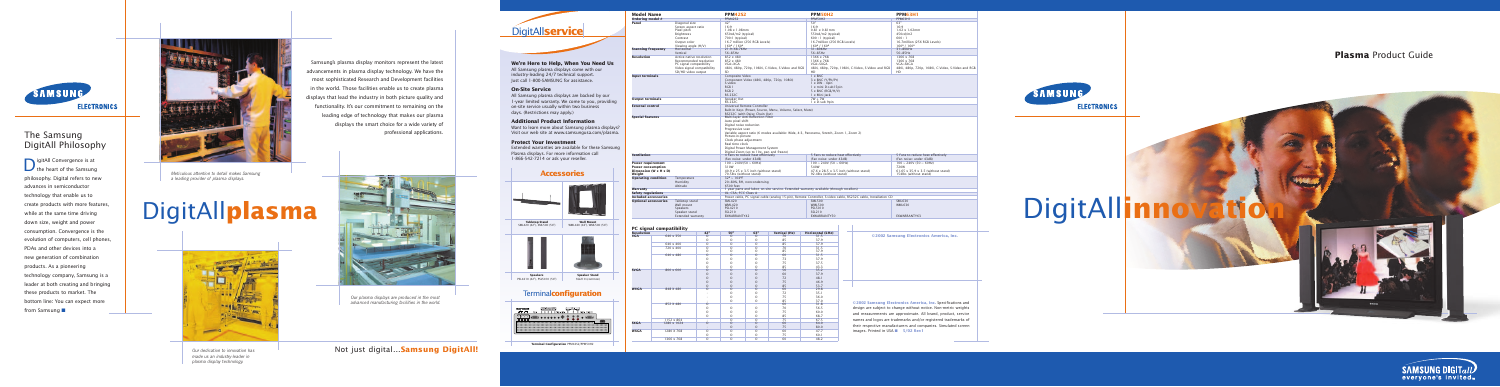*Our plasma displays are produced in the most advanced manufacturing facilities in the world.*

## **DigitAllserv**

**We're Here to Help, When You Need Us** All Samsung plasma displays come with our industry-leading 24/7 technical support. Just call 1-800-SAMSUNG for assistance.

**On-Site Service**

All Samsung plasma displays are backed by our 1-year limited warranty. We come to you, providing on-site service usually within two business days. (Restrictions may apply.)

**Additional Product Information** Want to learn more about Samsung plasma displays?

Visit our web site at www.samsungusa.com/plasma.

**Output terminals** 

**Protect Your Investment** Extended warranties are available for these Samsung Plasma displays. For more information call 1-866-542-7214 or ask your reseller.

**Plasma** Product Guide





**© 2002 Samsung Electronics America, Inc.** Specifications and design are subject to change without notice. Non-metric weights and measurements are approximate. All brand, product, service names and logos are trademarks and/or registered trademarks of their respective manufacturers and companies. Simulated screen images. Printed in USA ■ **5/02 Rev1**



# DigitAll**innovat**

## The Samsung DigitAll Philosophy

**D** igitAll Convergence is at the heart of the Samsung philosophy. Digital refers to new advances in semiconductor technology that enable us to create products with more features, while at the same time driving down size, weight and power consumption. Convergence is the evolution of computers, cell phones, PDAs and other devices into a new generation of combination products. As a pioneering technology company, Samsung is a leader at both creating and bringing these products to market. The bottom line: You can expect more from Samsung ■

*Meticulous attention to detail makes Samsung a leading provider of plasma displays.*

Picture-in-picture Clock phase adjustment Real time clock





Digital Power Management System Digital Zoom (up to 10x, pan and freeze)<br>4 Fans to reduce heat effectively

# Not just digital…**Samsung DigitAll!**



# DigitAll**plasma Tabletop Stand**



**Terminal Configuration** PPM42S2/PPM50H2

**©2002 Samsung Electronics America, Inc.**

Video and RGB 480i, 480p, 720p, 1080i, C-Video, S-Video and RGB 480i, 480p, 720p, 1080i, C-Video, S-Video and RGB





**Wall Mount**  WML420 (42"), WML500 (50")



**Speaker Stand**  SSL210 (common)



**Model Name PPM42S2 PPM50H2 PPM63H1 Ordering model #** PPM42S2 PPM50H2 PPM63H1 **Panel** Diagonal size 42" 50" 63"

**Scanning frequency** Horizontal 21.9~68.7KHz 31~80KHz 31~80KHz 31-80KHz 31-80KHz Vertical 56~85Hz 56~85Hz 56~85Hz 56~85Hz 56~85Hz 56~85Hz 56~85Hz 56~85Hz 56~85Hz 56~85Hz 56~85Hz 56~85Hz

> S-video 1 x DIN - 4pin<br>RGR 1 x DIN - 4pin RGB 1 1 x mini D-sub15pin<br>RGB 1 2 x mini D-sub15pin<br>RGB 2 5 x RNC (RGB/H/V) RGB 2 5 x BNC (RGB/H/V)<br>RS-232C 1 x Mini Jack RS-232C<br>
> RS-232C<br>
> Speaker Out<br>
> RS-232C<br>
> RS-232C<br>
> 1 x D-sub 9pin

Pixel pitch 1.08 x 1.08mm 650cd/m2 (typical) 1.08 x 1.08mm 550cd/m2 (typical) 550cd/m2 (typical) 550cd/m2 (typical) 550cd/m2 (typical) 550cd/m2 (typical) 550cd/m2 (typical) 550cd/m2 (typical) 550cd/m2 (typical) 550cd/m2 (t Brightness 650cd/m2 (typical) 550cd/m2 (typical) 550cd/m2 (typical) 450cd/m<br>
550cd/m2 (typical) 550cd/m2 (typical) 600 : 1 (typical) 600 : 1 (typical) 600 : 1 (typical) 600 : 1

Viewing angle (H/V)  $160^{\circ}$  / 160<sup>o</sup> 160<sup>o</sup> 160<sup>o</sup> 160<sup>o</sup> 160<sup>o</sup> 160<sup>o</sup> 160<sup>o</sup> 160<sup>o</sup> 160<sup>o</sup> 160<sup>o</sup> 160<sup>o</sup> 160<sup>o</sup> 160<sup>o</sup> 160<sup>o</sup> 160<sup>o</sup> 160<sup>o</sup> 160<sup>o</sup> 160<sup>o</sup> 160<sup>o</sup> 160<sup>o</sup> 160<sup>o</sup> 160<sup>o</sup> 160<sup>o</sup> 160<sup>o</sup> 160<sup>o</sup> 160<sup>o</sup> 1760o 16

Recommended resolution and a series and a series of the series of the series of the series of the series of the series of the series of the series of the series of the series of the series of the series of the series of th

Contrast 700:1 (typical) 600 : 1 (typical) 600 : 1 Output color 16.7 million (256 RGB Levels) 16.7million (256 RGB Levels) 16.7million (256 RGB Levels)

Screen aspect ratio 16:9<br>
Pixel pitch 1.08 x 1.08mm 1.08 x 1.08mm 0.81 x 0.81mm

PC signal compatibility VGA~XGA<br>
Video signal compatibility VGA~XGA<br>
Video signal compatibility 480i, 480p, 720p, 1080i, C-Video, S-Video and RGB 480i, 480p, 720p, 1

Component Video (480i, 480p, 720p, 1080i)

RS232C (with Daisy Chain Out)

Auto pixel shift Digital noise reduction Progressive scan

Variable aspect ratio (6 modes available: Wide, 4:3, Panorama, Stretch, Zoom 1, Zoom 2)

**Ventilation**<br>
4 Fans to reduce heat effectively<br>
(Fan noise: under 43dB) 5 Fans to reduce heat effectively<br> **Power requirement** 5 Fans to reduce heat effectively<br>
100 ~ 240V(50 ~ 60Hz) 100 ~ 240V(50 ~ 60Hz) 100 ~ 240V(50 (Fan noise: under 43dB) (Fan noise: under 43dB) (Fan noise: under 43dB) **Power requirement** 100 ~ 240V(50 ~ 60Hz) 100 ~ 240V (50 ~ 60Hz) 100 ~ 240V (50 ~ 60Hz) Power consumption 72000 and the state of the state of the state of the state of the state of the state of the state of the state of the state of the state of the state of the state of the state of the state of the state of

Humidity 20~80%, RH, noncondensing

O O O 85 68.7

| Safety regulations                                                                                            |                         |                                                                                                               | UL, CSA, FCC Class A |                                                                            |                                                |                         |                                        |  |  |
|---------------------------------------------------------------------------------------------------------------|-------------------------|---------------------------------------------------------------------------------------------------------------|----------------------|----------------------------------------------------------------------------|------------------------------------------------|-------------------------|----------------------------------------|--|--|
| <b>Included accessories</b>                                                                                   |                         | Power cable, PC signal cable (analog 15-pin), Remote Controller, S-video cable, RS232C cable, Installation CD |                      |                                                                            |                                                |                         |                                        |  |  |
| <b>Optional accessories</b><br>Tabletop stand<br>Wall mount<br>Speakers<br>Speaker stand<br>Extended warranty |                         | <b>SML420</b><br><b>WML420</b><br>PSL4210<br>SSL210<br>EXWARRANTY42                                           |                      | <b>SML500</b><br><b>WML500</b><br><b>PSL5010</b><br>SSL210<br>EXWARRANTY50 | <b>SML630</b><br><b>WML630</b><br>EXWARRANTY63 |                         |                                        |  |  |
| <b>Resolution</b>                                                                                             | PC signal compatibility | 42"                                                                                                           | 50"                  | 63"                                                                        | <b>Vertical (Hz)</b>                           | <b>Horizontal (kHz)</b> |                                        |  |  |
| <b>VGA</b>                                                                                                    | 640 x 350               | Ω                                                                                                             | $\Omega$             | $\Omega$                                                                   | 70                                             | 31.5                    | ©2002 Samsung Electro                  |  |  |
|                                                                                                               |                         | Ω                                                                                                             | $\Omega$             | ∩                                                                          | 85                                             | 37.9                    |                                        |  |  |
|                                                                                                               | 640 x 400               | O                                                                                                             | $\circ$              | $\circ$                                                                    | 85                                             | 37.9                    |                                        |  |  |
|                                                                                                               | 720 x 400               | Ω                                                                                                             | $\Omega$             | $\Omega$                                                                   | 70                                             | 31.5                    |                                        |  |  |
|                                                                                                               |                         | Ω                                                                                                             | $\Omega$             | $\Omega$                                                                   | 85                                             | 37.9                    |                                        |  |  |
|                                                                                                               | 640 x 480               | $\Omega$                                                                                                      | $\Omega$             | $\Omega$                                                                   | 60                                             | 31.5                    |                                        |  |  |
|                                                                                                               |                         |                                                                                                               |                      |                                                                            | 73                                             | 37.9                    |                                        |  |  |
|                                                                                                               |                         | O                                                                                                             | $\Omega$             |                                                                            | 75                                             | 37.5                    |                                        |  |  |
|                                                                                                               |                         | ∩                                                                                                             | $\Omega$             | $\Omega$                                                                   | 85                                             | 43.3                    |                                        |  |  |
| <b>SVGA</b>                                                                                                   | 800 x 600               | $\Omega$                                                                                                      | $\Omega$             | $\Omega$                                                                   | 56                                             | 35.2                    |                                        |  |  |
|                                                                                                               |                         | $\Omega$                                                                                                      | $\Omega$             |                                                                            | 60                                             | 37.9                    |                                        |  |  |
|                                                                                                               |                         |                                                                                                               |                      |                                                                            | 72                                             | 48.1                    |                                        |  |  |
|                                                                                                               |                         | $\Omega$                                                                                                      |                      |                                                                            | 75                                             | 46.9                    |                                        |  |  |
|                                                                                                               |                         | $\Omega$                                                                                                      | $\Omega$             | $\Omega$                                                                   | 85                                             | 53.7                    |                                        |  |  |
| <b>WVGA</b>                                                                                                   | 848 X 480               | $\Omega$                                                                                                      | $\Omega$             | $\Omega$                                                                   | 60                                             | 29.8                    |                                        |  |  |
|                                                                                                               |                         |                                                                                                               |                      |                                                                            | 72                                             | 35.1                    |                                        |  |  |
|                                                                                                               |                         |                                                                                                               | $\Omega$             | $\Omega$                                                                   | 75                                             | 36.0                    |                                        |  |  |
|                                                                                                               |                         |                                                                                                               | $\Omega$             | $\Omega$                                                                   | 85                                             | 37.0                    | ©2002 Samsung Electronics Ameri        |  |  |
|                                                                                                               | 852 X 480               | $\Omega$                                                                                                      |                      |                                                                            | 60                                             | 31.8                    |                                        |  |  |
|                                                                                                               |                         | Ω                                                                                                             | $\Omega$             | $\Omega$                                                                   | 70                                             | 56.5                    | design are subject to change without i |  |  |
|                                                                                                               |                         | Ω                                                                                                             | $\Omega$             | $\Omega$                                                                   | 75                                             | 60.0                    | and moacuraments are approximate       |  |  |

SD/HD video output SD<br>Composite Video

**Special features** Multi-layer Anti-Reflection Filter

Humidity 20~80%, RH<br>Altitude 6500 feet

**Weight** 70.5lbs (with<br> **Operating condition** Temperature 32<sup>°</sup> ~ 104°F

**Input terminals**<br>
Composite Video (480i, 480p, 720p, 1080i) 3 x BNC (Y/Pb/Pr)

RS-232C 1 x D-sub 9pin<br>Universal Remote Controller<br>Built-In Keys (Power, Source, Menu, Volume, Select, Mute)

-OO 75 80.0

O O O 75 60.1

 $1152 \times 864$  |  $\cdot$  | O | O | 75 | 67.5

 $1366 \times 768$  0 0 0 0 0 60 48.2

**SXGA** | 1280 x 1024 | O O O O O 60 | 64.0

**WXGA** | 1280 X 768 | O O O O O O 60 | 47.7

**Warranty**<br> **Warranty** 1 year parts and labor, on-site service. Extended warranty available (through resellers)

*Our dedication to innovation has made us an industry-leader in plasma display technology.*



### **Accessories**

Terminal**configuration**